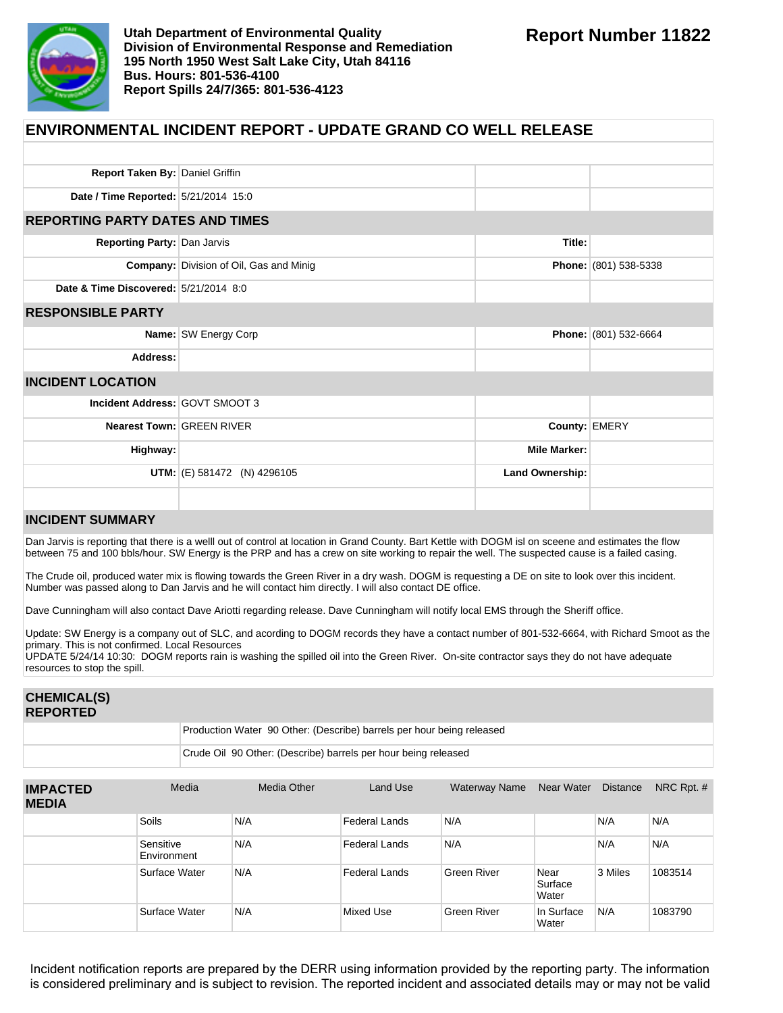

| <b>ENVIRONMENTAL INCIDENT REPORT - UPDATE GRAND CO WELL RELEASE</b> |                                                |                     |                       |  |  |  |
|---------------------------------------------------------------------|------------------------------------------------|---------------------|-----------------------|--|--|--|
|                                                                     |                                                |                     |                       |  |  |  |
| Report Taken By: Daniel Griffin                                     |                                                |                     |                       |  |  |  |
| Date / Time Reported: 5/21/2014 15:0                                |                                                |                     |                       |  |  |  |
| <b>REPORTING PARTY DATES AND TIMES</b>                              |                                                |                     |                       |  |  |  |
| Reporting Party: Dan Jarvis                                         |                                                | Title:              |                       |  |  |  |
|                                                                     | <b>Company: Division of Oil, Gas and Minig</b> |                     | Phone: (801) 538-5338 |  |  |  |
| Date & Time Discovered: 5/21/2014 8:0                               |                                                |                     |                       |  |  |  |
| <b>RESPONSIBLE PARTY</b>                                            |                                                |                     |                       |  |  |  |
|                                                                     | Name: SW Energy Corp                           |                     | Phone: (801) 532-6664 |  |  |  |
| Address:                                                            |                                                |                     |                       |  |  |  |
| <b>INCIDENT LOCATION</b>                                            |                                                |                     |                       |  |  |  |
| Incident Address: GOVT SMOOT 3                                      |                                                |                     |                       |  |  |  |
| <b>Nearest Town: GREEN RIVER</b>                                    |                                                | County: EMERY       |                       |  |  |  |
| Highway:                                                            |                                                | <b>Mile Marker:</b> |                       |  |  |  |
|                                                                     | <b>UTM:</b> $(E)$ 581472 (N) 4296105           | Land Ownership:     |                       |  |  |  |
|                                                                     |                                                |                     |                       |  |  |  |

## **INCIDENT SUMMARY**

Dan Jarvis is reporting that there is a welll out of control at location in Grand County. Bart Kettle with DOGM isl on sceene and estimates the flow between 75 and 100 bbls/hour. SW Energy is the PRP and has a crew on site working to repair the well. The suspected cause is a failed casing.

The Crude oil, produced water mix is flowing towards the Green River in a dry wash. DOGM is requesting a DE on site to look over this incident. Number was passed along to Dan Jarvis and he will contact him directly. I will also contact DE office.

Dave Cunningham will also contact Dave Ariotti regarding release. Dave Cunningham will notify local EMS through the Sheriff office.

Update: SW Energy is a company out of SLC, and acording to DOGM records they have a contact number of 801-532-6664, with Richard Smoot as the primary. This is not confirmed. Local Resources

UPDATE 5/24/14 10:30: DOGM reports rain is washing the spilled oil into the Green River. On-site contractor says they do not have adequate resources to stop the spill.

| <b>CHEMICAL(S)</b><br><b>REPORTED</b> |                                                                       |
|---------------------------------------|-----------------------------------------------------------------------|
|                                       | Production Water 90 Other: (Describe) barrels per hour being released |
|                                       | Crude Oil 90 Other: (Describe) barrels per hour being released        |

| <b>IMPACTED</b><br><b>MEDIA</b> | Media                    | Media Other | Land Use             | <b>Waterway Name</b> | Near Water               | <b>Distance</b> | NRC Rpt. $#$ |
|---------------------------------|--------------------------|-------------|----------------------|----------------------|--------------------------|-----------------|--------------|
|                                 | <b>Soils</b>             | N/A         | <b>Federal Lands</b> | N/A                  |                          | N/A             | N/A          |
|                                 | Sensitive<br>Environment | N/A         | Federal Lands        | N/A                  |                          | N/A             | N/A          |
|                                 | Surface Water            | N/A         | <b>Federal Lands</b> | Green River          | Near<br>Surface<br>Water | 3 Miles         | 1083514      |
|                                 | Surface Water            | N/A         | Mixed Use            | Green River          | In Surface<br>Water      | N/A             | 1083790      |

Incident notification reports are prepared by the DERR using information provided by the reporting party. The information is considered preliminary and is subject to revision. The reported incident and associated details may or may not be valid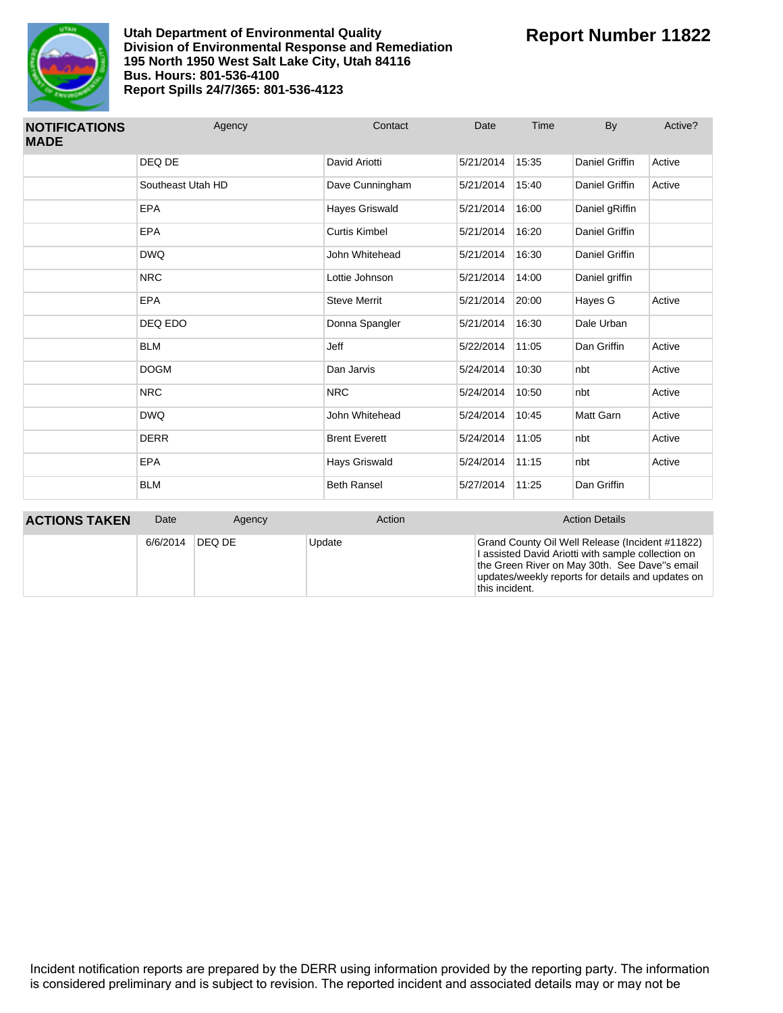

| <b>NOTIFICATIONS</b><br><b>MADE</b> | Agency            | Contact              | Date      | Time  | By                    | Active? |
|-------------------------------------|-------------------|----------------------|-----------|-------|-----------------------|---------|
|                                     | DEQ DE            | David Ariotti        | 5/21/2014 | 15:35 | <b>Daniel Griffin</b> | Active  |
|                                     | Southeast Utah HD | Dave Cunningham      | 5/21/2014 | 15:40 | Daniel Griffin        | Active  |
|                                     | <b>EPA</b>        | Hayes Griswald       | 5/21/2014 | 16:00 | Daniel gRiffin        |         |
|                                     | <b>EPA</b>        | <b>Curtis Kimbel</b> | 5/21/2014 | 16:20 | Daniel Griffin        |         |
|                                     | <b>DWQ</b>        | John Whitehead       | 5/21/2014 | 16:30 | Daniel Griffin        |         |
|                                     | <b>NRC</b>        | Lottie Johnson       | 5/21/2014 | 14:00 | Daniel griffin        |         |
|                                     | <b>EPA</b>        | <b>Steve Merrit</b>  | 5/21/2014 | 20:00 | Hayes G               | Active  |
|                                     | DEQ EDO           | Donna Spangler       | 5/21/2014 | 16:30 | Dale Urban            |         |
|                                     | <b>BLM</b>        | Jeff                 | 5/22/2014 | 11:05 | Dan Griffin           | Active  |
|                                     | <b>DOGM</b>       | Dan Jarvis           | 5/24/2014 | 10:30 | nbt                   | Active  |
|                                     | <b>NRC</b>        | <b>NRC</b>           | 5/24/2014 | 10:50 | nbt                   | Active  |
|                                     | <b>DWQ</b>        | John Whitehead       | 5/24/2014 | 10:45 | <b>Matt Garn</b>      | Active  |
|                                     | <b>DERR</b>       | <b>Brent Everett</b> | 5/24/2014 | 11:05 | nbt                   | Active  |
|                                     | <b>EPA</b>        | Hays Griswald        | 5/24/2014 | 11:15 | nbt                   | Active  |
|                                     | <b>BLM</b>        | <b>Beth Ransel</b>   | 5/27/2014 | 11:25 | Dan Griffin           |         |

| <b>ACTIONS TAKEN</b> | Date     | Agency | Action | <b>Action Details</b>                                                                                                                                                                                                         |
|----------------------|----------|--------|--------|-------------------------------------------------------------------------------------------------------------------------------------------------------------------------------------------------------------------------------|
|                      | 6/6/2014 | DEQ DE | Update | Grand County Oil Well Release (Incident #11822)<br>I assisted David Ariotti with sample collection on<br>the Green River on May 30th. See Dave"s email<br>updates/weekly reports for details and updates on<br>this incident. |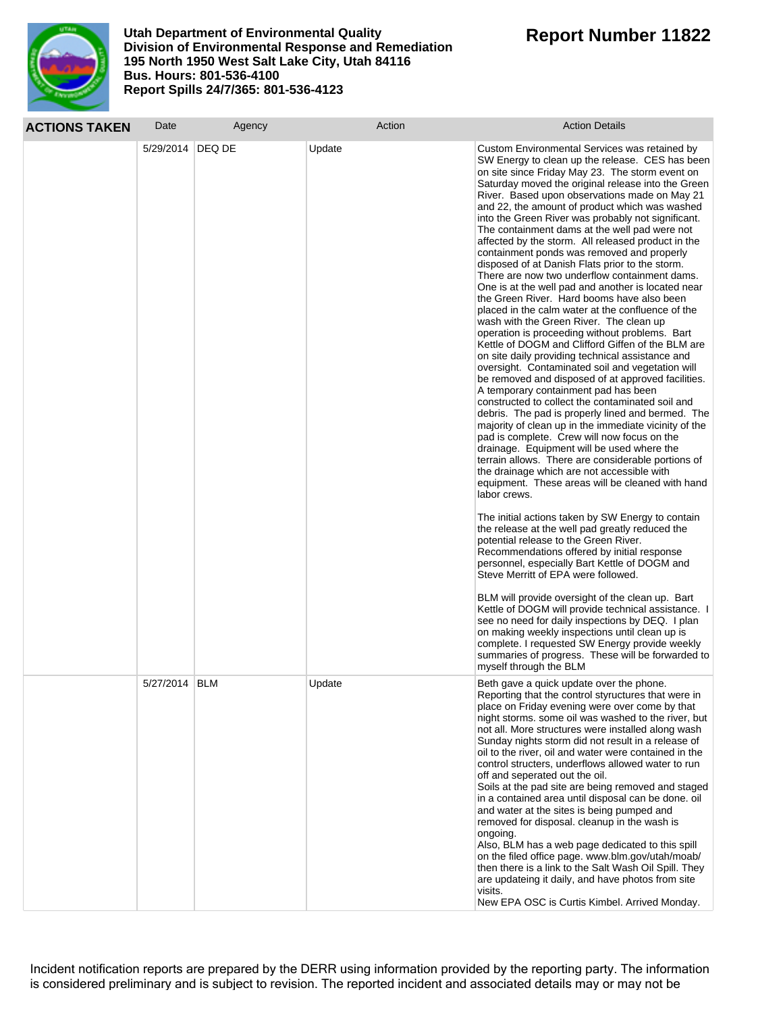

| <b>ACTIONS TAKEN</b> | Date               | Agency | Action | <b>Action Details</b>                                                                                                                                                                                                                                                                                                                                                                                                                                                                                                                                                                                                                                                                                                                                                                                                                                                                                                                                                                                                                                                                                                                                                                                                                                                                                                                                                                                                                                                                                                                                                                                                                                                                                                                                                                                                                                                                                                                                                                                                                                                                                                                                                                                                         |
|----------------------|--------------------|--------|--------|-------------------------------------------------------------------------------------------------------------------------------------------------------------------------------------------------------------------------------------------------------------------------------------------------------------------------------------------------------------------------------------------------------------------------------------------------------------------------------------------------------------------------------------------------------------------------------------------------------------------------------------------------------------------------------------------------------------------------------------------------------------------------------------------------------------------------------------------------------------------------------------------------------------------------------------------------------------------------------------------------------------------------------------------------------------------------------------------------------------------------------------------------------------------------------------------------------------------------------------------------------------------------------------------------------------------------------------------------------------------------------------------------------------------------------------------------------------------------------------------------------------------------------------------------------------------------------------------------------------------------------------------------------------------------------------------------------------------------------------------------------------------------------------------------------------------------------------------------------------------------------------------------------------------------------------------------------------------------------------------------------------------------------------------------------------------------------------------------------------------------------------------------------------------------------------------------------------------------------|
|                      | 5/29/2014   DEQ DE |        | Update | Custom Environmental Services was retained by<br>SW Energy to clean up the release. CES has been<br>on site since Friday May 23. The storm event on<br>Saturday moved the original release into the Green<br>River. Based upon observations made on May 21<br>and 22, the amount of product which was washed<br>into the Green River was probably not significant.<br>The containment dams at the well pad were not<br>affected by the storm. All released product in the<br>containment ponds was removed and properly<br>disposed of at Danish Flats prior to the storm.<br>There are now two underflow containment dams.<br>One is at the well pad and another is located near<br>the Green River. Hard booms have also been<br>placed in the calm water at the confluence of the<br>wash with the Green River. The clean up<br>operation is proceeding without problems. Bart<br>Kettle of DOGM and Clifford Giffen of the BLM are<br>on site daily providing technical assistance and<br>oversight. Contaminated soil and vegetation will<br>be removed and disposed of at approved facilities.<br>A temporary containment pad has been<br>constructed to collect the contaminated soil and<br>debris. The pad is properly lined and bermed. The<br>majority of clean up in the immediate vicinity of the<br>pad is complete. Crew will now focus on the<br>drainage. Equipment will be used where the<br>terrain allows. There are considerable portions of<br>the drainage which are not accessible with<br>equipment. These areas will be cleaned with hand<br>labor crews.<br>The initial actions taken by SW Energy to contain<br>the release at the well pad greatly reduced the<br>potential release to the Green River.<br>Recommendations offered by initial response<br>personnel, especially Bart Kettle of DOGM and<br>Steve Merritt of EPA were followed.<br>BLM will provide oversight of the clean up. Bart<br>Kettle of DOGM will provide technical assistance. I<br>see no need for daily inspections by DEQ. I plan<br>on making weekly inspections until clean up is<br>complete. I requested SW Energy provide weekly<br>summaries of progress. These will be forwarded to<br>myself through the BLM |
|                      | 5/27/2014 BLM      |        | Update | Beth gave a quick update over the phone.<br>Reporting that the control styructures that were in<br>place on Friday evening were over come by that<br>night storms, some oil was washed to the river, but<br>not all. More structures were installed along wash<br>Sunday nights storm did not result in a release of<br>oil to the river, oil and water were contained in the<br>control structers, underflows allowed water to run<br>off and seperated out the oil.<br>Soils at the pad site are being removed and staged<br>in a contained area until disposal can be done. oil<br>and water at the sites is being pumped and<br>removed for disposal. cleanup in the wash is<br>ongoing.<br>Also, BLM has a web page dedicated to this spill<br>on the filed office page. www.blm.gov/utah/moab/<br>then there is a link to the Salt Wash Oil Spill. They<br>are updateing it daily, and have photos from site<br>visits.<br>New EPA OSC is Curtis Kimbel. Arrived Monday.                                                                                                                                                                                                                                                                                                                                                                                                                                                                                                                                                                                                                                                                                                                                                                                                                                                                                                                                                                                                                                                                                                                                                                                                                                                |

Incident notification reports are prepared by the DERR using information provided by the reporting party. The information is considered preliminary and is subject to revision. The reported incident and associated details may or may not be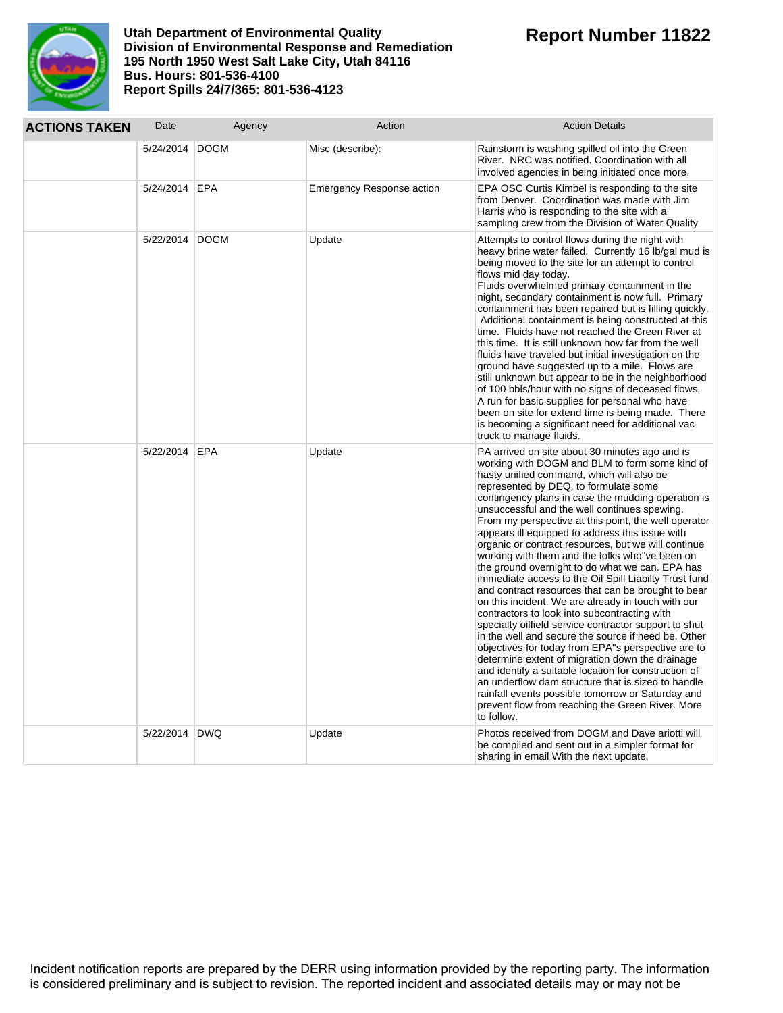

| <b>ACTIONS TAKEN</b> | Date             | Agency | Action                           | <b>Action Details</b>                                                                                                                                                                                                                                                                                                                                                                                                                                                                                                                                                                                                                                                                                                                                                                                                                                                                                                                                                                                                                                                                                                                                                                                                                                   |
|----------------------|------------------|--------|----------------------------------|---------------------------------------------------------------------------------------------------------------------------------------------------------------------------------------------------------------------------------------------------------------------------------------------------------------------------------------------------------------------------------------------------------------------------------------------------------------------------------------------------------------------------------------------------------------------------------------------------------------------------------------------------------------------------------------------------------------------------------------------------------------------------------------------------------------------------------------------------------------------------------------------------------------------------------------------------------------------------------------------------------------------------------------------------------------------------------------------------------------------------------------------------------------------------------------------------------------------------------------------------------|
|                      | 5/24/2014   DOGM |        | Misc (describe):                 | Rainstorm is washing spilled oil into the Green<br>River. NRC was notified. Coordination with all<br>involved agencies in being initiated once more.                                                                                                                                                                                                                                                                                                                                                                                                                                                                                                                                                                                                                                                                                                                                                                                                                                                                                                                                                                                                                                                                                                    |
|                      | 5/24/2014 EPA    |        | <b>Emergency Response action</b> | EPA OSC Curtis Kimbel is responding to the site<br>from Denver. Coordination was made with Jim<br>Harris who is responding to the site with a<br>sampling crew from the Division of Water Quality                                                                                                                                                                                                                                                                                                                                                                                                                                                                                                                                                                                                                                                                                                                                                                                                                                                                                                                                                                                                                                                       |
|                      | 5/22/2014 DOGM   |        | Update                           | Attempts to control flows during the night with<br>heavy brine water failed. Currently 16 lb/gal mud is<br>being moved to the site for an attempt to control<br>flows mid day today.<br>Fluids overwhelmed primary containment in the<br>night, secondary containment is now full. Primary<br>containment has been repaired but is filling quickly.<br>Additional containment is being constructed at this<br>time. Fluids have not reached the Green River at<br>this time. It is still unknown how far from the well<br>fluids have traveled but initial investigation on the<br>ground have suggested up to a mile. Flows are<br>still unknown but appear to be in the neighborhood<br>of 100 bbls/hour with no signs of deceased flows.<br>A run for basic supplies for personal who have<br>been on site for extend time is being made. There<br>is becoming a significant need for additional vac<br>truck to manage fluids.                                                                                                                                                                                                                                                                                                                      |
|                      | 5/22/2014 EPA    |        | Update                           | PA arrived on site about 30 minutes ago and is<br>working with DOGM and BLM to form some kind of<br>hasty unified command, which will also be<br>represented by DEQ, to formulate some<br>contingency plans in case the mudding operation is<br>unsuccessful and the well continues spewing.<br>From my perspective at this point, the well operator<br>appears ill equipped to address this issue with<br>organic or contract resources, but we will continue<br>working with them and the folks who "ve been on<br>the ground overnight to do what we can. EPA has<br>immediate access to the Oil Spill Liabilty Trust fund<br>and contract resources that can be brought to bear<br>on this incident. We are already in touch with our<br>contractors to look into subcontracting with<br>specialty oilfield service contractor support to shut<br>in the well and secure the source if need be. Other<br>objectives for today from EPA"s perspective are to<br>determine extent of migration down the drainage<br>and identify a suitable location for construction of<br>an underflow dam structure that is sized to handle<br>rainfall events possible tomorrow or Saturday and<br>prevent flow from reaching the Green River. More<br>to follow. |
|                      | 5/22/2014 DWQ    |        | Update                           | Photos received from DOGM and Dave ariotti will<br>be compiled and sent out in a simpler format for<br>sharing in email With the next update.                                                                                                                                                                                                                                                                                                                                                                                                                                                                                                                                                                                                                                                                                                                                                                                                                                                                                                                                                                                                                                                                                                           |

Incident notification reports are prepared by the DERR using information provided by the reporting party. The information is considered preliminary and is subject to revision. The reported incident and associated details may or may not be